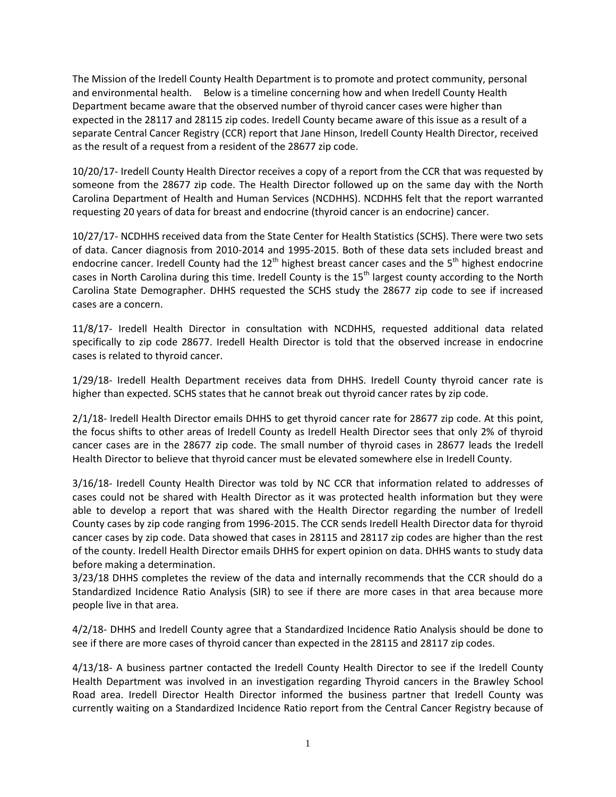The Mission of the Iredell County Health Department is to promote and protect community, personal and environmental health. Below is a timeline concerning how and when Iredell County Health Department became aware that the observed number of thyroid cancer cases were higher than expected in the 28117 and 28115 zip codes. Iredell County became aware of this issue as a result of a separate Central Cancer Registry (CCR) report that Jane Hinson, Iredell County Health Director, received as the result of a request from a resident of the 28677 zip code.

10/20/17- Iredell County Health Director receives a copy of a report from the CCR that was requested by someone from the 28677 zip code. The Health Director followed up on the same day with the North Carolina Department of Health and Human Services (NCDHHS). NCDHHS felt that the report warranted requesting 20 years of data for breast and endocrine (thyroid cancer is an endocrine) cancer.

10/27/17- NCDHHS received data from the State Center for Health Statistics (SCHS). There were two sets of data. Cancer diagnosis from 2010-2014 and 1995-2015. Both of these data sets included breast and endocrine cancer. Iredell County had the  $12<sup>th</sup>$  highest breast cancer cases and the  $5<sup>th</sup>$  highest endocrine cases in North Carolina during this time. Iredell County is the 15<sup>th</sup> largest county according to the North Carolina State Demographer. DHHS requested the SCHS study the 28677 zip code to see if increased cases are a concern.

11/8/17- Iredell Health Director in consultation with NCDHHS, requested additional data related specifically to zip code 28677. Iredell Health Director is told that the observed increase in endocrine cases is related to thyroid cancer.

1/29/18- Iredell Health Department receives data from DHHS. Iredell County thyroid cancer rate is higher than expected. SCHS states that he cannot break out thyroid cancer rates by zip code.

2/1/18- Iredell Health Director emails DHHS to get thyroid cancer rate for 28677 zip code. At this point, the focus shifts to other areas of Iredell County as Iredell Health Director sees that only 2% of thyroid cancer cases are in the 28677 zip code. The small number of thyroid cases in 28677 leads the Iredell Health Director to believe that thyroid cancer must be elevated somewhere else in Iredell County.

3/16/18- Iredell County Health Director was told by NC CCR that information related to addresses of cases could not be shared with Health Director as it was protected health information but they were able to develop a report that was shared with the Health Director regarding the number of Iredell County cases by zip code ranging from 1996-2015. The CCR sends Iredell Health Director data for thyroid cancer cases by zip code. Data showed that cases in 28115 and 28117 zip codes are higher than the rest of the county. Iredell Health Director emails DHHS for expert opinion on data. DHHS wants to study data before making a determination.

3/23/18 DHHS completes the review of the data and internally recommends that the CCR should do a Standardized Incidence Ratio Analysis (SIR) to see if there are more cases in that area because more people live in that area.

4/2/18- DHHS and Iredell County agree that a Standardized Incidence Ratio Analysis should be done to see if there are more cases of thyroid cancer than expected in the 28115 and 28117 zip codes.

4/13/18- A business partner contacted the Iredell County Health Director to see if the Iredell County Health Department was involved in an investigation regarding Thyroid cancers in the Brawley School Road area. Iredell Director Health Director informed the business partner that Iredell County was currently waiting on a Standardized Incidence Ratio report from the Central Cancer Registry because of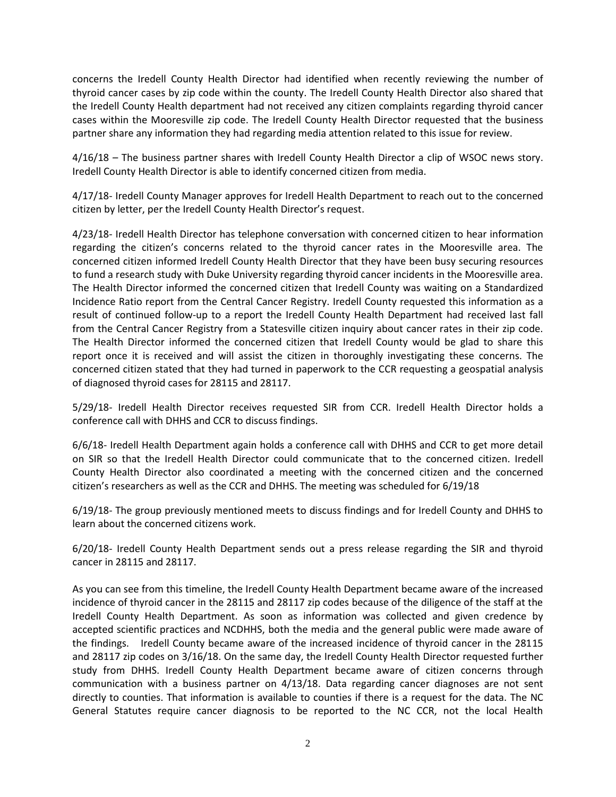concerns the Iredell County Health Director had identified when recently reviewing the number of thyroid cancer cases by zip code within the county. The Iredell County Health Director also shared that the Iredell County Health department had not received any citizen complaints regarding thyroid cancer cases within the Mooresville zip code. The Iredell County Health Director requested that the business partner share any information they had regarding media attention related to this issue for review.

4/16/18 – The business partner shares with Iredell County Health Director a clip of WSOC news story. Iredell County Health Director is able to identify concerned citizen from media.

4/17/18- Iredell County Manager approves for Iredell Health Department to reach out to the concerned citizen by letter, per the Iredell County Health Director's request.

4/23/18- Iredell Health Director has telephone conversation with concerned citizen to hear information regarding the citizen's concerns related to the thyroid cancer rates in the Mooresville area. The concerned citizen informed Iredell County Health Director that they have been busy securing resources to fund a research study with Duke University regarding thyroid cancer incidents in the Mooresville area. The Health Director informed the concerned citizen that Iredell County was waiting on a Standardized Incidence Ratio report from the Central Cancer Registry. Iredell County requested this information as a result of continued follow-up to a report the Iredell County Health Department had received last fall from the Central Cancer Registry from a Statesville citizen inquiry about cancer rates in their zip code. The Health Director informed the concerned citizen that Iredell County would be glad to share this report once it is received and will assist the citizen in thoroughly investigating these concerns. The concerned citizen stated that they had turned in paperwork to the CCR requesting a geospatial analysis of diagnosed thyroid cases for 28115 and 28117.

5/29/18- Iredell Health Director receives requested SIR from CCR. Iredell Health Director holds a conference call with DHHS and CCR to discuss findings.

6/6/18- Iredell Health Department again holds a conference call with DHHS and CCR to get more detail on SIR so that the Iredell Health Director could communicate that to the concerned citizen. Iredell County Health Director also coordinated a meeting with the concerned citizen and the concerned citizen's researchers as well as the CCR and DHHS. The meeting was scheduled for 6/19/18

6/19/18- The group previously mentioned meets to discuss findings and for Iredell County and DHHS to learn about the concerned citizens work.

6/20/18- Iredell County Health Department sends out a press release regarding the SIR and thyroid cancer in 28115 and 28117.

As you can see from this timeline, the Iredell County Health Department became aware of the increased incidence of thyroid cancer in the 28115 and 28117 zip codes because of the diligence of the staff at the Iredell County Health Department. As soon as information was collected and given credence by accepted scientific practices and NCDHHS, both the media and the general public were made aware of the findings. Iredell County became aware of the increased incidence of thyroid cancer in the 28115 and 28117 zip codes on 3/16/18. On the same day, the Iredell County Health Director requested further study from DHHS. Iredell County Health Department became aware of citizen concerns through communication with a business partner on 4/13/18. Data regarding cancer diagnoses are not sent directly to counties. That information is available to counties if there is a request for the data. The NC General Statutes require cancer diagnosis to be reported to the NC CCR, not the local Health